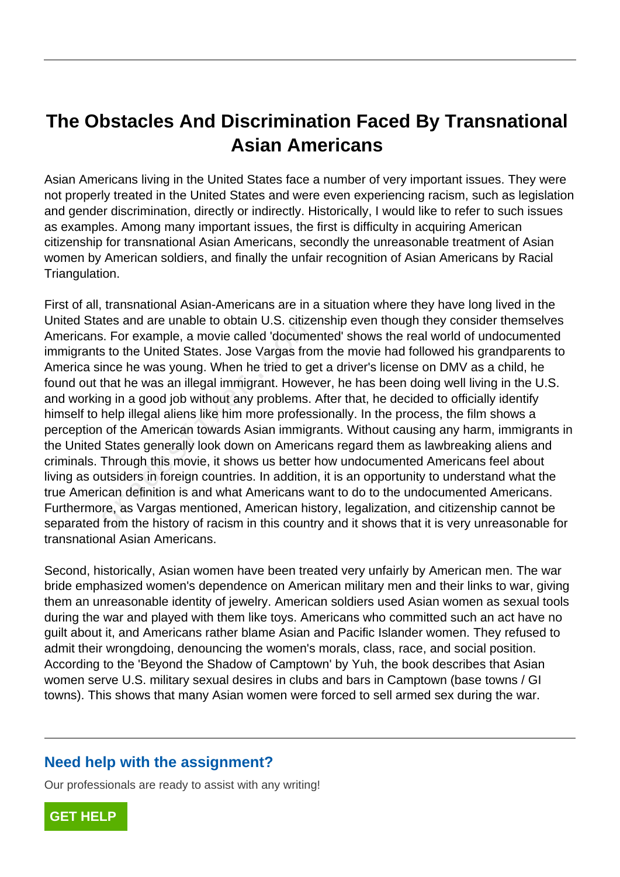## **The Obstacles And Discrimination Faced By Transnational Asian Americans**

Asian Americans living in the United States face a number of very important issues. They were not properly treated in the United States and were even experiencing racism, such as legislation and gender discrimination, directly or indirectly. Historically, I would like to refer to such issues as examples. Among many important issues, the first is difficulty in acquiring American citizenship for transnational Asian Americans, secondly the unreasonable treatment of Asian women by American soldiers, and finally the unfair recognition of Asian Americans by Racial Triangulation.

First of all, transnational Asian-Americans are in a situation where they have long lived in the United States and are unable to obtain U.S. citizenship even though they consider themselves Americans. For example, a movie called 'documented' shows the real world of undocumented immigrants to the United States. Jose Vargas from the movie had followed his grandparents to America since he was young. When he tried to get a driver's license on DMV as a child, he found out that he was an illegal immigrant. However, he has been doing well living in the U.S. and working in a good job without any problems. After that, he decided to officially identify himself to help illegal aliens like him more professionally. In the process, the film shows a perception of the American towards Asian immigrants. Without causing any harm, immigrants in the United States generally look down on Americans regard them as lawbreaking aliens and criminals. Through this movie, it shows us better how undocumented Americans feel about living as outsiders in foreign countries. In addition, it is an opportunity to understand what the true American definition is and what Americans want to do to the undocumented Americans. Furthermore, as Vargas mentioned, American history, legalization, and citizenship cannot be separated from the history of racism in this country and it shows that it is very unreasonable for transnational Asian Americans. i. For example, a movie called 'docume<br>i. For example, a movie called 'docume<br>s to the United States. Jose Vargas from<br>ince he was young. When he tried to get<br>that he was an illegal immigrant. Howe<br>ng in a good job without

Second, historically, Asian women have been treated very unfairly by American men. The war bride emphasized women's dependence on American military men and their links to war, giving them an unreasonable identity of jewelry. American soldiers used Asian women as sexual tools during the war and played with them like toys. Americans who committed such an act have no guilt about it, and Americans rather blame Asian and Pacific Islander women. They refused to admit their wrongdoing, denouncing the women's morals, class, race, and social position. According to the 'Beyond the Shadow of Camptown' by Yuh, the book describes that Asian women serve U.S. military sexual desires in clubs and bars in Camptown (base towns / GI towns). This shows that many Asian women were forced to sell armed sex during the war.

## **Need help with the assignment?**

Our professionals are ready to assist with any writing!

**[GET HELP](https://my.gradesfixer.com/order?utm_campaign=pdf_sample)**